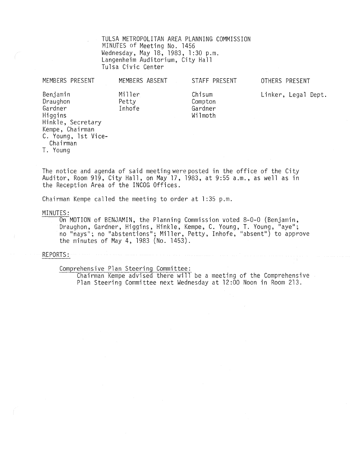TULSA METROPOLITAN AREA PLANNING COMMISSION MINUTES of Meeting No. 1456 Wednesday, May 18, 1983, 1 :30 p.m. Langenheim Auditorium, City Hall Tulsa Civic Center

| MEMBERS PRESENT                                                                                                                   | MEMBERS ABSENT            | STAFF PRESENT                           | OTHERS PRESENT      |
|-----------------------------------------------------------------------------------------------------------------------------------|---------------------------|-----------------------------------------|---------------------|
| Benjamin<br>Draughon<br>Gardner<br>Higgins<br>Hinkle, Secretary<br>Kempe, Chairman<br>C. Young, 1st Vice-<br>Chairman<br>T. Young | Miller<br>Petty<br>Inhofe | Chisum<br>Compton<br>Gardner<br>Wilmoth | Linker, Legal Dept. |

The notice and agenda of said meeting were posted in the office of the City Auditor, Room 919, City Hall, on May 17, 1983, at 9:55 a.m., as well as in the Reception Area of the INCOG Offices.

Chairman Kempe called the meeting to order at 1:35 p.m.

MINUTES:

On MOTION of BENJAMIN. the Planning Commission voted 8-0-0 (Benjamin, Draughon, Gardner, Higgins, Hinkle, Kempe, C. Young, T. Young, "aye"; no "nays"; no "abstentions"; Miller, Petty, Inhofe, "absent") to approve the minutes of May 4, 1983 (No. 1453).

REPORTS:

Comprehensive Plan Steering Committee:

Chairman Kempe advised there will be a meeting of the Comprehensive Plan Steering Committee next Wednesday at 12:00 Noon in Room 213.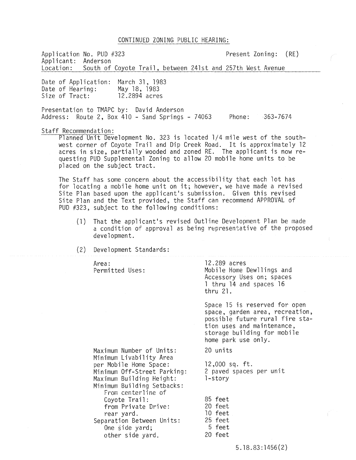## CONTINUED ZONING PUBLIC HEARING:

Application No. PUD #323 Present Zoning: (RE) Applicant: Anderson<br>Location: South of South of Coyote Trail, between 241st and 257th West Avenue

Date of Application: March 31, 1983 Date of Hearing: Size of Tract: May 18, 1983 12.2894 acres

Presentation to TMAPC by: David Anderson Address: Route 2, Box 410 - Sand Springs - 74063 Phone: 363-7674

Staff Recommendation:

Planned Unit Development No. 323 is located 1/4 mile west of the southwest corner of Coyote Trail and Dip Creek Road. It is approximately 12 acres in size, partially wooded and zoned RE. The applicant is now requesting PUD Supplemental Zoning to allow 20 mobile home units to be placed on the subject tract.

The Staff has some concern about the accessibility that each lot has for locating a mobile home unit on it; however, we have made a revised Site Plan based upon the applicant's submission. Given this revised Site Plan and the Text provided, the Staff can recommend APPROVAL of PUD #323, subject to the following conditions:

- (1) That the applicant's revised Outline Development Plan be made a condition of approval as being representative of the proposed development.
- (2) Development Standards:

Area: Permitted Uses:

12.289 acres Mobile Home Dewllings and Accessory Uses on; spaces 1 thru 14 and spaces 16 thru 21.

Space 15 is reserved for open space, garden area, recreation, possible future rural fire station uses and maintenance, storage building for mobile home park use only.

20 units

12,000 sq. ft. 2 paved spaces per unit l-story

Minimum Livability Area per Mobile Home Space: Minimum Off-Street Parking: Maximum Building Height: Minimum Building Setbacks: From centerline of Coyote Trail: from Private Drive: rear yard. Separation Between Units: One side yard; other side yard.

Maximum Number of Units:

20 feet 10 feet 25 feet 5 feet

85 feet

20 feet

5. 18.83: 1456 (2)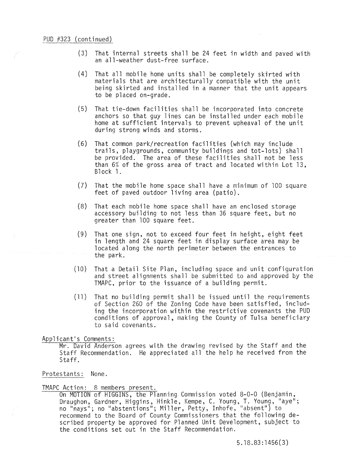- (3) That internal streets shall be 24 feet in width and paved with an all-weather dust-free surface.
- (4) That all mobile home units shall be completely skirted with materials that are architecturally compatible with the unit being skirted and installed in a manner that the unit appears to be placed on-grade.
- (5) That tie-down facilities shall be incorporated into concrete anchors so that guy lines can be installed under each mobile home at sufficient intervals to prevent upheaval of the unit during strong winds and storms.
- (6) That common park/recreation facilities (which may include trails, playgrounds, community buildings and tot-lots) shall be provided. The area of these facilities shall not be less than 6% of the gross area of tract and located within Lot 13, Block 1.
- (7) That the mobile home space shall have a minimum of 100 square feet of paved outdoor living area (patio).
- (8) That each mobile home space shall have an enclosed storage accessory building to not less than 36 square feet, but no greater than 100 square feet.
- (9) That one sign, not to exceed four feet in height, eight feet in length and 24 square feet in display surface area may be located along the north perimeter between the entrances to the park.
- (10) That a Detail Site Plan, including space and unit configuration and street alignments shall be submitted to and approved by the TMAPC, prior to the issuance of a building permit.
- (11) That no building permit shall be issued until the requirements of Section 260 of the Zoning Code have been satisfied, including the incorporation within the restrictive covenants the PUD conditions of approval. making the County of Tulsa beneficiary to said covenants.

Applicant's Comments:

Mr. David Anderson agrees with the drawing revised by the Staff and the Staff Recommendation. He appreciated all the help he received from the Staff.

## Protestants: None.

TMAPC Action: 8 members present.<br>On MOTION of HIGGINS, the Planning Commission voted 8-0-0 (Benjamin, Draughon, Gardner, Higgins, Hinkle, Kempe, C. Young, T. Young, "aye"; no "nays"; no "abstentions"; Miller, Petty, Inhofe, "absent") to recommend to the Board of County Commissioners that the following described property be approved for Planned Unit Development, subject to the conditions set out in the Staff Recommendation.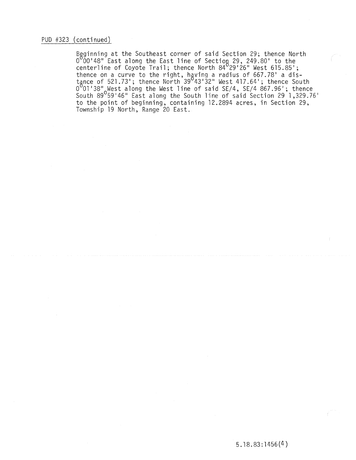# PUD #323 (continued)

Beginning at the Southeast corner of said Section 29; thence North beginning as one estendast corner or said eccerent by, enemies not centerline of Coyote Trail; thence North 84<sup>0</sup>29'26" West 615.85'; thence on a curve to the right, having a radius of 667.78' a distance of 521.73'; thence North 39<sup>0</sup>43'32" West 417.64'; thence South  $0^\circ$ 01'38" West along the West line of said SE/4, SE/4 867.96'; thence ~outh 89 *59'4b"* tast along the ~outh Ilne ot sald Sectlon L~ 1,329.76 ' to the point of beginning, containing 12.2894 acres, in Section 29, Township 19 North, Range 20 East.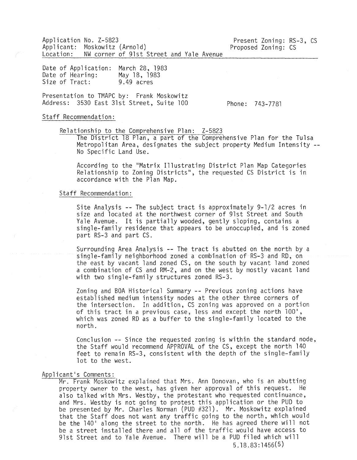Application No. Z-5823 Applicant: Moskowitz (Arnold) Location: NW corner of 91st Street and Yale Avenue

Date of Application: March 28, 1983 Date of Hearing: Size of Tract: May 18, 1983 9.49 acres

Presentation to TMAPC by: Frank Moskowitz Address: 3530 East 31st Street, Suite 100

Phone: 743-7781

Present Zoning: RS-3, CS

Proposed Zoning: CS

Staff Recommendation:

Relationship to the Comprehensive Plan: Z-5823

The District 18 Plan, a part of the Comprehensive Plan for the Tulsa Metropolitan Area, designates the subject property Medium Intensity No Specific Land Use.

According to the "Matrix Illustrating District Plan Map Categories Relationship to Zoning Districts", the requested CS District is in accordance with the Plan Map.

## Staff Recommendation:

Site Analysis -- The subject tract is approximately 9-1/2 acres in size and located at the northwest corner of 91st Street and South Yale Avenue. It is partially wooded, gently sloping, contains a single-family residence that appears to be unoccupied, and is zoned part RS-3 and part CS.

Surrounding Area Analysis -- The tract is abutted on the north by a single-family neighborhood zoned a combination of RS-3 and RD, on the east by vacant land zoned CS, on the south by vacant land zoned a combination of CS and RM-2, and on the west by mostly vacant land with two single-family structures zoned RS-3.

Zoning and BOA Historical Summary -- Previous zoning actions have established medium intensity nodes at the other three corners of the intersection. In addition, CS zoning was approved on a portion of this tract in a previous case, less and except the north 100', which was zoned RD as a buffer to the single-family located to the north.

Conclusion -- Since the requested zoning is within the standard node, the Staff would recommend APPROVAL of the CS, except the north 140 feet to remain RS-3, consistent with the depth of the single-family lot to the west.

## Applicant's Comments:

Mr. Frank Moskowitz explained that Mrs. Ann Donovan, who is an abutting property owner to the west, has given her approval of this request. He also talked with Mrs. Westby, the protestant who requested continuance, and Mrs. Westby is not going to protest this application or the PUD to be presented by Mr. Charles Norman (PUD #321). Mr. Moskowitz explained that the Staff does not want any traffic going to the north, which would be the 140' along the street to the north. He has agreed there will not be a street installed there and all of the traffic would have access to 91st Street and to Yale Avenue. There will be a PUD filed which will 5.18.83:1456(5)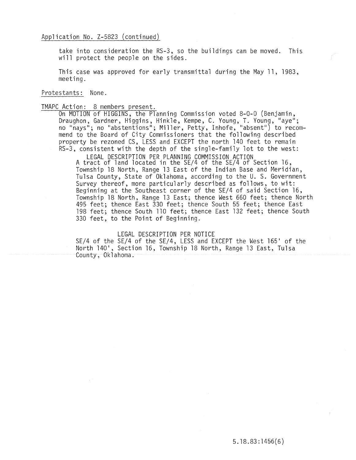take into consideration the RS-3, so the buildings can be moved. This will protect the people on the sides.

This case was approved for early transmittal during the May 11, 1983, meeting.

Protestants: None.

TMAPC Action: 8 members present.<br>On MOTION of HIGGINS, the Planning Commission voted 8-0-0 (Benjamin, Draughon, Gardner, Higgins, Hinkle, Kempe, C. Young, T. Young, "aye"; no "nays"; no "abstentions"; Miller, Petty, Inhofe, "absent") to recommend to the Board of City Commissioners that the following described property be rezoned CS, LESS and EXCEPT the north 140 feet to remain RS-3, consistent with the depth of the single-family lot to the west:

> LEGAL DESCRIPTION PER PLANNING COMMISSION ACTION A tract of land located in the SE/4 of the SE/4 of Section 16, Township 18 North, Range 13 East of the Indian Base and Meridian, Tulsa County, State of Oklahoma, according to the U. S. Government Survey thereof, more particularly described as follows, to wit: Beginning at the Southeast corner of the SE/4 of said Section 16, Township 18 North, Range 13 East; thence West 660 feet; thence North 495 feet; thence East 330 feet; thence South 55 feet; thence East 198 feet; thence South 110 feet; thence East 132 feet; thence South 330 feet, to the Point of Beginning.

> > LEGAL DESCRIPTION PER NOTICE

SE/4 of the SE/4 of the SE/4, LESS and EXCEPT the West 165' of the North 140', Section 16, Township 18 North, Range 13 East, Tulsa County, Oklahoma.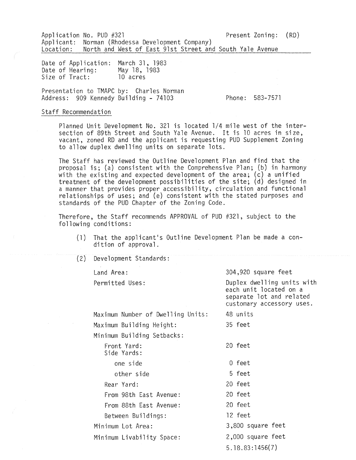Application No. PUD #321 Present Zoning: (RD) Applicant: Norman (Rhodessa Development Company)<br>Location: North and West of East 91st Street and North and West of East 91st Street and South Yale Avenue

Date of Application: March 31,1983 Date of Hearing: Size of Tract: May 18, 1983 10 acres

Presentation to TMAPC by: Charles Norman Address: 909 Kennedy Building - 74103

Phone: 583-7571

### Staff Recommendation

Planned Unit Development No. 321 is located 1/4 mile west of the intersection of 89th Street and South Yale Avenue. It is 10 acres in size, vacant, zoned RD and the applicant is requesting PUD Supplement Zoning to allow duplex dwelling units on separate lots.

The Staff has reviewed the Outline Development Plan and find that the proposal is; (a) consistent with the Comprehensive Plan; (b) in harmony with the existing and expected development of the area; (c) a unified treatment of the development possibilities of the site; (d) designed in a manner that provides proper accessibility, circulation and functional relationships of uses; and (e) consistent with the stated purposes and standards of the PUD Chapter of the Zoning Code.

Therefore, the Staff recommends APPROVAL of PUD #321, subject to the following conditions:

- (1) That the applicant's Outline Development Plan be made a condition of approval.
- (2) Development Standards:

Land Area:

Permitted Uses:

304,920 square feet

Duplex dwelling units with each unit located on a separate lot and related customary accessory uses.

Maximum Number of Dwelling Units: **Maximum Bui1ding Height:** 

Minimum Building Setbacks:

Front Yard: Side Yards:

Rear Yard:

Minimum Lot Area:

one side other side

From 98th East Avenue: From 88th East Avenue:

Between Buildings:

Minimum Livability Space:

35 feet

20 feet

0 feet 5 feet 20 feet

48 units

20 feet 20 feet

12 feet

3,800 square feet 2,000 square feet

5.18.83:1456(7)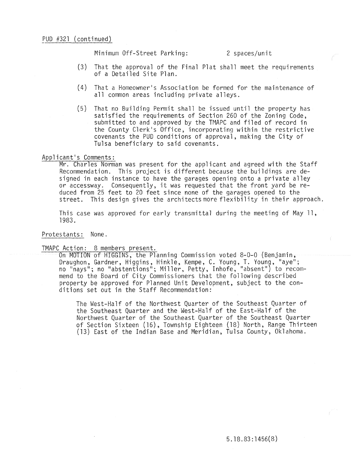Minimum Off-Street Parking: 2 spaces/unit

- (3) That the approval of the Final Plat shall meet the requirements of a Detailed Site Plan.
- (4) That a Homeowner's Association be formed for the maintenance of all common areas including private alleys.
- (5) That no Building Permit shall be issued until the property has satisfied the requirements of Section 260 of the Zoning Code, submitted to and approved by the TMAPC and filed of record in the County Clerk's Office, incorporating within the restrictive covenants the PUD conditions of approval, making the City of Tulsa beneficiary to said covenants.

## Applicant's Comments:

Mr. Charles Norman was present for the applicant and agreed with the Staff Recommendation. This project is different because the buildings are designed in each instance to have the garages opening onto a private alley or accessway. Consequently, it was requested that the front yard be reduced from 25 feet to 20 feet since none of the garages opened to the street. This design gives the architects more flexibility in their approach.

This case was approved for early transmittal during the meeting of May  $11$ , 1983.

## Protestants: None.

TMAPC Action: 8 members present.

On MOTION of HIGGINS, the Planning Commission voted 8-0-0 (Benjamin, Draughon, Gardner, Higgins, Hinkle, Kempe, C. Young, T. Young, "aye"; no "nays"; no "abstentions"; Miller, Petty, Inhofe, "absent") to recommend to the Board of City Commissioners that the following described property be approved for Planned Unit Development, subject to the conditions set out in the Staff Recommendation:

The West-Half of the Northwest Quarter of the Southeast Quarter of the Southeast Quarter and the West-Half of the East-Half of the Northwest Quarter of the Southeast Quarter of the Southeast Quarter  $\overline{S}$  Cof Section Sixteen (16), Township Eighteen (18) North, Range Thirteen (13) East of the Indian Base and Meridian, Tulsa County, Oklahoma.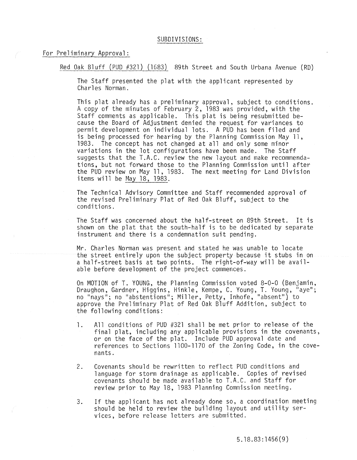### For Preliminary **Approval:**

Red Oak Bluff (PUD #321) (1683) 89th Street and South Urbana Avenue (RD)

The Staff presented the plat with the applicant represented by Charles Norman.

This plat already has a preliminary approval, subject to conditions. A copy of the minutes of February 2, 1983 was provided, with the Staff comments as applicable. This plat is being resubmitted because the Board of Adjustment denied the request for variances to permit development on individual lots. A PUD has been filed and is being processed for hearing by the Planning Commission May 11, 1983. The concept has not changed at all and only some minor variations in the lot configurations have been made. The Staff suggests that the T.A.C. review the new layout and make recommendations, but not forward those to the Planning Commission until after the PUD review on May 11, 1983. The next meeting for Land Division items will be May 18, 1983.

The Technical Advisory Committee and Staff recommended approval of the revised Preliminary Plat of Red Oak Bluff, subject to the conditions.

The Staff was concerned about the half-street on 89th Street. It is shown on the plat that the south-half is to be dedicated by separate instrument and there is a condemnation suit pending.

Mr. Charles Norman was present and stated he was unable to locate the street entirely upon the subject property because it stubs in on a half-street basis at two points. The right-of-way will be available before development of the project commences.

On MOTION of T. YOUNG, the Planning Commission voted 8-0-0 (Benjamin, Draughon, Gardner, Higgins, Hinkle, Kempe, C. Young, T. Young, "aye"; no "nays"; no "abstentions"; Miller, Petty, Inhofe, "absent") to approve the Preliminary Plat of Red Oak Bluff Addition, subject to the following conditions:

- 1. All conditions of PUD #321 shall be met prior to release of the final plat, including any applicable provisions in the covenants, or on the face of the plat. Include PUD approval date and references to Sections 1100-1170 of the Zoning Code, in the covenants.
- 2. Covenants should be rewritten to reflect PUD conditions and language for storm drainage as applicable. Copies of revised covenants should be made available to T.A.C. and Staff for review prior to May 18, 1983 Planning Commission meeting.
- 3. If the applicant has not already done so, a coordination meeting should be held to review the building layout and utility services, before release letters are submitted.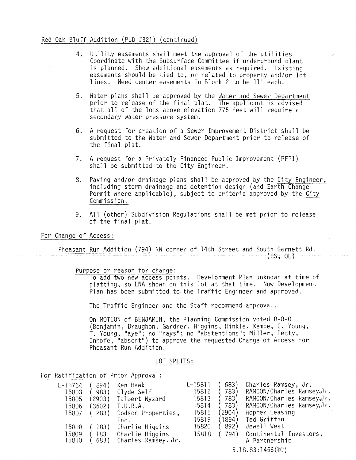## Red Oak Bluff Addition (PUD #321) (continued)

- 4. Utility easements shall meet the approval of the utilities. Coordinate with the Subsurface Committee if underground plant is planned. Show additional easements as required. Existing easements should be tied to, or related to property and/or lot lines. Need center easements in Block 2 to be 11' each.
- 5. Water plans shall be approved by the <u>Water and Sewer Department</u> prior to release of the final plat. The applicant is advised that all of the lots above elevation 775 feet will require a secondary water pressure system.
- 6. A request for creation of a Sewer Improvement District shall be submitted to the Water and Sewer Department prior to release of the final plat.
- 7. A request for a Privately Financed Public Improvement (PFPI) shall be submitted to the City Engineer.
- 8. Paving and/or drainage plans shall be approved by the City Engineer, including storm drainage and detention design (and Earth Change Permit where applicable), subject to criteria approved by the City Commission.
- 9. All (other) Subdivision Regulations shall be met prior to release of the final plat.

For Change of Access:

Pheasant Run Addition (794) NW corner of 14th Street and South Garnett Rd.

Purpose or reason for change:

10 add two new access points. Development Plan unknown at time of platting, so LNA shown on this lot at that time. Now Development Plan has been submitted to the Traffic Engineer and approved.

(CS, OL)

The Traffic Engineer and the Staff recommend approval.

On MOTION of BENJAMIN, the Planning Commission voted 8-0-0 (Benjamin, Draughon, Gardner, Higgins, Hinkle, Kempe, C. Young, T. Young, "aye"; no "nays"; no "abstentions"; Miller, Petty, Inhofe, "absent") to approve the requested Change of Access for Pheasant Run Addition.

## LOT SPLITS:

For Ratification of Prior Approval:

| L-15764        | 894)        | Ken Hawk                               | $L-15811$ | 683)   | Charles Ramsey, Jr.                     |
|----------------|-------------|----------------------------------------|-----------|--------|-----------------------------------------|
| 15803          | 983)        | Clyde Self                             | 15812     | 783)   | RAMCON/Charles Ramsey, Jr.              |
| 15805          | (2903)      | Talbert Wyzard                         | 15813     | 783)   | RAMCON/Charles Ramsey, Jr.              |
| 15806          | 3602)       | T.U.R.A.                               | 15814     | 783)   | RAMCON/Charles Ramsey, Jr.              |
| 15807          | 283)        | Dodson Properties,                     | 15815     | (2904) | Hopper Leasing                          |
|                |             | Inc.                                   | 15819     | (1894) | Ted Griffin                             |
| 15808          | 183)        | Charlie Higgins                        | 15820     | 892)   | Jewell West                             |
| 15809<br>15810 | 183<br>683) | Charlie Higgins<br>Charles Ramsey, Jr. | 15818     | 794)   | Continental Investors,<br>A Partnership |
|                |             |                                        |           |        | 5.18.83:1456(10)                        |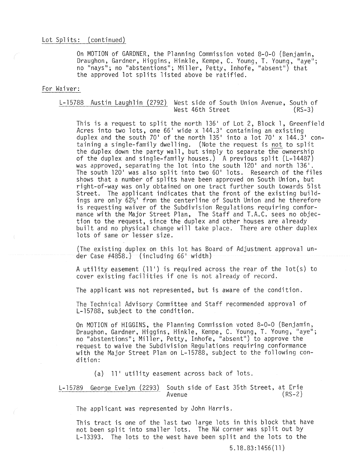On MOTION of GARDNER, the Planning Commission voted 8-0-0 (Benjamin,<br>Draughon, Gardner, Higgins, Hinkle, Kempe, C. Young, T. Young, "aye"; no "nays"; no "abstentions"; Miller, Petty, Inhofe, "absent") that the approved lot splits listed above be ratified.

## For Waiver:

## L-15788 Austin Laughlin (2792) West side of South Union Avenue, South of West 46th Street

This is a request to split the north 136' of Lot 2, Block 1, Greenfield Acres into two lots, one  $66'$  wide x  $144.3'$  containing an existing duplex and the south 70' of the north 135' into a lot 70' x 144.3' containing a single-family dwelling. (Note the request is not to split the duplex down the party wall, but simply to separate the ownership of the duplex and single-family houses.) A previous split (L-14487)<br>was approved, separating the lot into the south 120' and north 136'. The south 120' was also split into two  $60'$  lots. Research of the files shows that a number of splits have been approved on South Union, but right-or-way was only obtained on one tract further south towards 51st Street. The applicant indicates that the front of the existing buildings are only  $62\frac{1}{2}$  from the centerline of South Union and he therefore is requesting waiver of the Subdivision Regulations requiring conformance with the Major Street Plan, The Staff and T.A.C. sees no objection to the request, since the duplex and other houses are already<br>built and no physical change will take place. There are other duplex lots of same or lesser size.

(The existing duplex on this lot has Board of Adjustment approval under Case #4858.) (including 66 1 width)

A utility easement ('I!) is required across the rear of the lot(s) to cover existing facilities if one is not already of record.

The applicant was not represented, but is aware of the condition.

The Technical Advisory Committee and Staff recommended approval of L-15788, subject to the condition.

On MOTION of HIGGINS, the Planning Commission voted 8-0-0 (Benjamin, Draughon, Gardner, Higgins, Hinkle, Kempe, C. Young, T. Young, "aye"; no "abstentions"; Miller, Petty, Inhofe, "absent") to approve the request to waive the Subdivision Regulations requiring conformance with the Major Street Plan on L-15788, subject to the following condition:

(a) 11' utility easement across back of lots.

L-l5789 George Evelyn (2293) South side of East 35th Street, at Erie Avenue

The applicant was represented by John Harris.

This tract is one of the last two large lots in this block that have not been split into smaller lots. The NW corner was split out by L-13393. The lots to the west have been split and the lots to the

5.18.83:1456(11 )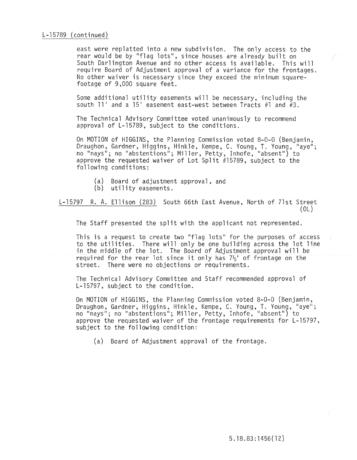east were replatted into a new subdivision. The only access to the rear would be by "flag lots", since houses are already built on South Darlington Avenue and no other access is available. This will require Board of Adjustment approval of a variance for the frontages. No other waiver is necessary since they exceed the minimum squarefootage of 9,000 square feet.

Some additional utility easements will be necessary, including the south 11' and a 15' easement east-west between Tracts #1 and  $#3$ .

The Technical Advisory Committee voted unanimously to recommend approval of L-15789, subject to the conditions.

On MOTION of HIGGINS, the Planning Commission voted 8-0-0 (Benjamin,<br>Draughon, Gardner, Higgins, Hinkle, Kempe, C. Young, T. Young, "aye"; no "nays"; no "abstentions"; Miller, Petty, Inhofe, "absent") to approve the requested waiver of Lot Split #15789, subject to the following conditions:

- (a) Board of adjustment approval, and
- (b) utility easements.

L-15797 R. A. Ellison (283) South 66th East Avenue, North of 7lst Street (OL)

The Staff presented the split with the applicant not represented.

This is a request to create two "flag lots" for the purposes of access to the utilities. There will only be one building across the lot line in the middle of the lot. The Board of Adjustment approval will be required for the rear lot since it only has  $7\frac{1}{2}$  of frontage on the street. There were no objections or requirements.

The Technical Advisory Committee and Staff recommended approval of L-15797, subject to the condition.

On MOTION of HIGGINS, the Planning Commission voted 8-0-0 (Benjamin, Draughon, Gardner, Higgins, Hinkle, Kempe, C. Young, T. Young, "aye"; no "nays"; no "abstentions"; Miller, Petty, Inhofe, "absent") to approve the requested waiver of the frontage requirements for L-15797, subject to the following condition:

(a) Board of Adjustment approval of the frontage.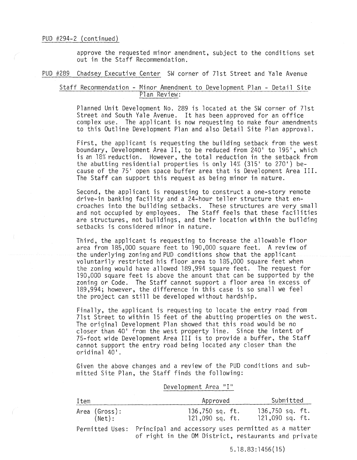approve the requested minor amendment, subject to the conditions set out in the Staff Recommendation.

#### PUD #289 Chadsey Executive Center SW corner of 7lst Street and Yale Avenue

## Staff Recommendation - Minor Amendment to Development Plan - Detail Site Plan Review:

Planned Unit Development No. 289 is located at the SW corner of 7lst Street and South Yale Avenue. It has been approved for an office complex use. The applicant is now requesting to make four amendments to this Outline Development Plan and also Detail Site Plan approval.

First, the applicant is requesting the building setback from the west boundary, Development Area II, to be reduced from 240' to 195', which is an 18% reduction. However, the total reduction in the setback from the abutting residential properties is only  $14%$  (315' to 270') because of the 75' open space buffer area that is Development Area III. The Staff can support this request as being minor in nature.

Second, the applicant is requesting to construct a one-story remote drive-in banking facility and a 24-hour teller structure that encroaches into the building setbacks. These structures are very small and not occupied by employees. The Staff feels that these facilities are structures, not buildings, and their location within the building setbacks is considered minor in nature.

Third, the applicant is requesting to increase the allowable floor area from 185,000 square feet to 190,000 square feet. A review of the underlying zoning and PUD conditions show that the applicant voluntarily restricted his floor area to 185,000 square feet when the zoning would have allowed 189,994 square feet. The request for 190,000 square feet is above the amount that can be supported by the zoning or Code. The Staff cannot support a floor area in excess of 189,994; however, the difference in this case is so small we feel the project can still be developed without hardship.

Finally, the applicant is requesting to locate the entry road from 71st Street to within 15 feet of the abutting properties on the west. The original Development Plan showed that this road would be no closer than 40' from the west property line. Since the intent of 75-foot wide Development Area III is to provide a buffer, the Staff cannot support the entry road being located any closer than the oridinal 40'.

Given the above changes and a review of the PUD conditions and submitted Site Plan, the Staff finds the following:

## Development Area "1"

| Item                    | Approved                                                                                                                   | Submitted                          |
|-------------------------|----------------------------------------------------------------------------------------------------------------------------|------------------------------------|
| Area (Gross):<br>(Net): | 136,750 sq. ft.<br>121,090 sq. ft.                                                                                         | 136,750 sq. ft.<br>121,090 sq. ft. |
|                         | Permitted Uses: Principal and accessory uses permitted as a matter<br>of right in the OM District, restaurants and private |                                    |

5.18.83:1456(15)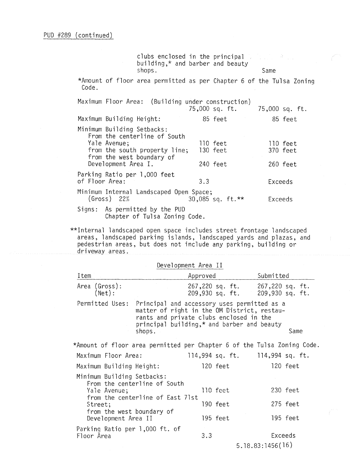|                                                  | clubs enclosed in the principal and the set<br>building, $*$ and barber and beauty<br>shops. |     |                      | Same                                                                 |
|--------------------------------------------------|----------------------------------------------------------------------------------------------|-----|----------------------|----------------------------------------------------------------------|
| Code.                                            |                                                                                              |     |                      | *Amount of floor area permitted as per Chapter 6 of the Tulsa Zoning |
|                                                  | Maximum Floor Area: (Building under construction)                                            |     |                      | 75,000 sq. ft. 75,000 sq. ft.                                        |
| Maximum Building Height:                         |                                                                                              |     | 85 feet              | 85 feet                                                              |
| Minimum Building Setbacks:                       | From the centerline of South                                                                 |     |                      |                                                                      |
| Yale Avenue;                                     | from the south property line;                                                                |     | 110 feet<br>130 feet | 110 feet<br>370 feet                                                 |
| from the west boundary of<br>Development Area I. |                                                                                              |     | 240 feet             | 260 feet                                                             |
| Parking Ratio per 1,000 feet<br>of Floor Area:   |                                                                                              | 3.3 |                      | Exceeds                                                              |
| $(Gross)$ 22%                                    | Minimum Internal Landscaped Open Space;                                                      |     | 30,085 sq. ft.**     | Exceeds                                                              |
| Signs: As permitted by the PUD                   | Chapter of Tulsa Zoning Code.                                                                |     |                      |                                                                      |
|                                                  |                                                                                              |     |                      |                                                                      |

\*\*Internal landscaped open space includes street frontage landscaped areas, landscaped parking islands, landscaped yards and plazas, and pedestrian areas, but does not include any parking, building or driveway areas.

| Development Area II                                                     |                                                                                                                                                                                                       |                                    |  |                                    |          |  |
|-------------------------------------------------------------------------|-------------------------------------------------------------------------------------------------------------------------------------------------------------------------------------------------------|------------------------------------|--|------------------------------------|----------|--|
| Item                                                                    |                                                                                                                                                                                                       | Approved                           |  | Submitted                          |          |  |
| Area (Gross):<br>(Net):                                                 |                                                                                                                                                                                                       | 267,220 sq. ft.<br>209,930 sq. ft. |  | 267,220 sq. ft.<br>209,930 sq. ft. |          |  |
| Permitted Uses:                                                         | Principal and accessory uses permitted as a<br>matter of right in the OM District, restau-<br>rants and private clubs enclosed in the<br>principal building,* and barber and beauty<br>shops.<br>Same |                                    |  |                                    |          |  |
| *Amount of floor area permitted per Chapter 6 of the Tulsa Zoning Code. |                                                                                                                                                                                                       |                                    |  |                                    |          |  |
| Maximum Floor Area:                                                     |                                                                                                                                                                                                       | 114,994 sq. ft. 114,994 sq. ft.    |  |                                    |          |  |
| Maximum Building Height:                                                |                                                                                                                                                                                                       | 120 feet                           |  |                                    | 120 feet |  |
| Minimum Building Setbacks:<br>From the centerline of South              |                                                                                                                                                                                                       |                                    |  |                                    |          |  |
| Yale Avenue;                                                            |                                                                                                                                                                                                       | 110 feet                           |  |                                    | 230 feet |  |
| Street;<br>from the west boundary of                                    | from the centerline of East 71st                                                                                                                                                                      | 190 feet                           |  |                                    | 275 feet |  |
| Development Area II                                                     |                                                                                                                                                                                                       | 195 feet                           |  |                                    | 195 feet |  |
| Parking Ratio per 1,000 ft. of<br>Floor Area                            |                                                                                                                                                                                                       | 3.3                                |  | Exceeds                            |          |  |

5.18.83:1456(16)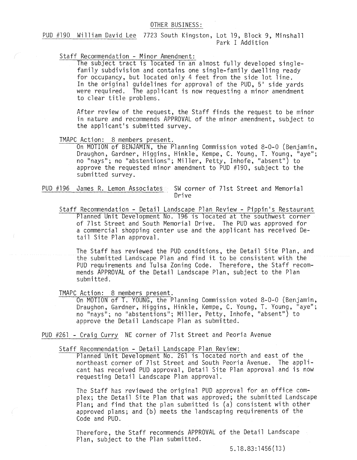## OTHER BUSINESS:

PUD #190 William David Lee 7723 South Kingston, Lot 19, Block 9, Minshall Park I Addition

Staff Recommendation - Minor Amendment:

The subject tract is located in an almost fully developed singlefamily subdivision and contains one single-family dwelling ready for occupancy, but located only 4 feet from the side lot line. In the original guidelines for approval of the PUD, 5' side yards were required. The applicant is now requesting a minor amendment<br>to clear title problems. family subdivision and contains one single-fami<br>for occupancy, but located only 4 feet from the<br>In the original guidelines for approval of the<br>were required. The applicant is now requesting<br>to clear title problems.

After review of the request, the Staff finds the request to be minor in nature and recommends APPROVAL of the minor amendment, subject to the applicant's submitted survey.

TMAPC Action: 8 members present.<br>On MOTION of BENJAMIN, the Planning Commission voted 8-0-0 (Benjamin, Draughon, Gardner, Higgins, Hinkle, Kempe, C. Young, T. Young, "aye"; no "nays"; no "abstentions"; Miller, Petty, Inhofe, "absent") to approve the requested minor amendment to PUD #190, subject to the submitted survey.

PUD #196 James R. Lemon Associates SW corner of 71st Street and Memorial Drive

Staff Recommendation - Detail Landscape Plan Review - Pippin's Restaurant Planned Unit Development No. 196 is located at the southwest corner of 71st Street and South Memorial Drive. The PUD was approved for a commercial shopping center use and the applicant has received Detail Site Plan approval.

The Staff has reviewed the PUD conditions, the Detail Site Plan, and the submitted Landscape Plan and find it to be consistent with the PUD requirements and Tulsa Zoning Code. Therefore, the Staff recommends APPROVAL of the Detail Landscape Plan, subject to the Plan sUbmitted.

TMAPC Action: 8 members present.<br>On MOTION of T. YOUNG, the Planning Commission voted 8-0-0 (Benjamin, Draughon, Gardner, Higgins, Hinkle, Kempe, C. Young, T. Young, "aye"; no "nays"; no "abstentions"; Miller, Petty, Inhofe, "absent") to approve the Detail Landscape Plan as submitted.

PUD #261 - Craig Curry NE corner of 7lst Street and Peoria Avenue

Staff Recommendation - Detail Landscape Plan Review:

Planned Unit Development No. 261 is located north and east of the northeast corner of 7lst Street and South Peoria Avenue. The applicant has received PUD approval, Detail Site Plan approval and is now requesting Detail Landscape Plan approval.

The Staff has reviewed the original PUD approval for an office complex; the Detail Site Plan that was approved; the submitted Landscape Plan; and find that the plan submitted is (a) consistent with other approved plans; and (b) meets the landscaping requirements of the Code and PUD.

Therefore, the Staff recommends APPROVAL of the Detail Landscape Plan, subject to the Plan submitted.

5.18.83:1456(13)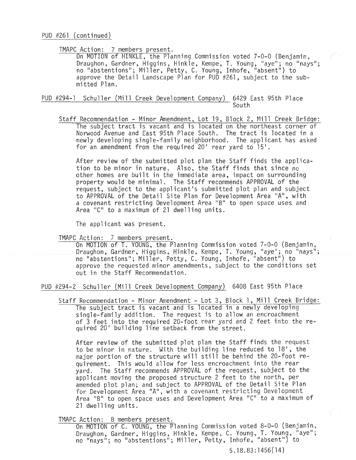## TMAPC Action: 7 members present.

On MOTION of HINKLE, the Planning Commission voted 7-0-0 (Benjamin, Draughon, Gardner, Higgins, Hinkle, Kempe, T. Young, "aye"; no "nays"; no "abstentions"; Miller, Petty, C. Young, Inhofe, "absent") to approve the Detail Landscape Plan for PUD #261, subject to the submitted Plan.

#### PUD #294-1 Schuller (Mill Creek Development Company) 6429 East 95th Place South

Staff Recommendation - Minor Amendment, Lot 19, Block 2, Mill Creek Bridge: The subject tract is vacant and is located on the northeast corner of Norwood Avenue and East 95th Place South. The tract is located in a newly developing single-family neighborhood. The applicant has asked for an amendment from the required 20' rear yard to 15'.

After review of the submitted plot plan the Staff finds the application to be minor in nature. Also, the Staff finds that since no other homes are built in the immediate area, impact on surrounding property would be minimal. The Staff recommends APPROVAL of the request, subject to the applicant's submitted plot plan and subject to APPROVAL of the Detail Site Plan for Development Area "A", with a covenant restricting Development Area "B" to open space uses and Area "C" to a maximum of 21 dwelling units.

The applicant was present.

TMAPC Action: 7 members present.<br>On MOTION of T. YOUNG, the Planning Commission voted 7-0-0 (Benjamin, Draughon, Gardner, Higgins, Hinkle, Kempe, T. Young, "aye"; no "nays"; no "abstentions"; Miller, Petty. C. Young, Inhofe, "absent") to approve the requested minor amendments, subject to the conditions set out in the Staff Recommendation.

PUD #294-2 Schuller (Mill Creek Development Company) 6408 East 95th Place

Staff Recommendation - Minor Amendment - Lot 3, Block 1, Mill Creek Bridge: The subject tract is *vacant* and is located in a newly developing single-family addition. The request is to allow an encroachment of 3 feet into the required 20-foot rear yard and 2 feet into the required 20' building line setback from the street.

After review of the submitted plot plan the Staff finds the request· to be minor in nature. With the building line reduced to 18', the major portion of the structure will still be behind the 20-foot requirement. This would allow for less encroachment into the rear yard. The Staff recommends APPROVAL of the request, subject to the applicant moving the proposed structure 2 feet to the north, per amended plot plan; and subject to APPROVAL of the Detail Site Plan for Development Area "A", with a covenant restricting Development Area "B" to open space uses and Development Area "C" to a maximum of 21 dwelling units.

TMAPC Action: 8 members present.

On MOTION of C. YOUNG, the Planning Commission *voted* 8-0-0 (Benjamin, Draughon, Gardner, Higgins, Hinkle, Kempe, C. Young, T. Young, "aye"; no "nays"; no "abstentions"; Miller, Petty, Inhofe, "absent") to

5.18.83:1456(14)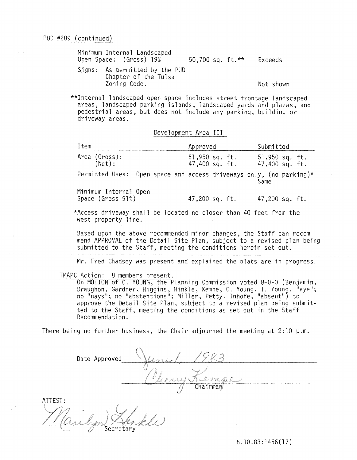| Minimum Internal Landscaped<br>Open Space; (Gross) 19%                 | 50,700 sq. ft. ** | Exceeds   |
|------------------------------------------------------------------------|-------------------|-----------|
| Signs: As permitted by the PUD<br>Chapter of the Tulsa<br>Zoning Code. |                   | Not shown |

\*\*Internal landscaped open space includes street frontage landscaped areas, landscaped parking islands. landscaped yards and plazas, and pedestrial areas, but does not include any parking, building or driveway areas.

Development Area III

| Item                                                                                     | Approved                         | Submitted                          |
|------------------------------------------------------------------------------------------|----------------------------------|------------------------------------|
| Area (Gross):<br>(Net):                                                                  | 51,950 sq. ft.<br>47,400 sq. ft. | $51,950$ sq. ft.<br>47,400 sq. ft. |
| Permitted Uses: Open space and access driveways only, (no parking)*                      |                                  | Same                               |
| Minimum Internal Open<br>Space (Gross 91%)                                               | 47,200 sq. ft.                   | 47,200 sq. ft.                     |
| *Access driveway shall be located no closer than 40 feet from the<br>west property line. |                                  |                                    |

Based upon the above recommended minor changes, the Staff can recommend APPROVAL of the Detail Site Plan, subject to a revised plan being submitted to the Staff, meeting the conditions herein set out.

Mr. Fred Chadsey was present and explained the plats are in progress.

TMAPC Action: 8 members present.

On MOTION of C. YOUNG, the Planning Commission voted 8-0-0 (Benjamin, Draughon, Gardner, Higgins, Hinkle, Kempe, C. Young, **T.** Young, "aye"; no "nays"; no "abstentions"; Miller, Petty, Inhofe, "absent") to approve the Detail Site Plan, subject to a revised plan being submitted to the Staff, meeting the conditions as set out in the Staff Recommendation.

There being no further business, the Chair adjourned the meeting at 2:10 p.m.

Date Approved Kempe  $Chairman$ ATTEST:

5.18.83:1456(17)